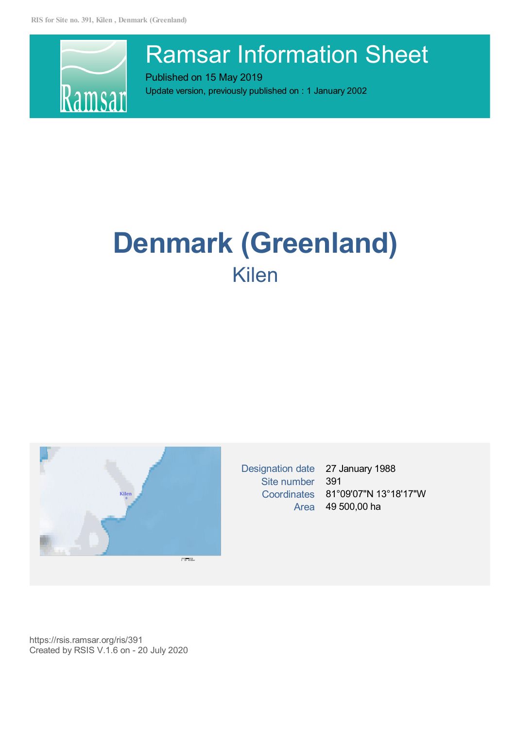

# Ramsar Information Sheet

Published on 15 May 2019 Update version, previously published on : 1 January 2002

# **Denmark (Greenland)** Kilen



Designation date 27 January 1988 Site number 391

Coordinates 81°09'07"N 13°18'17"W Area 49 500,00 ha

https://rsis.ramsar.org/ris/391 Created by RSIS V.1.6 on - 20 July 2020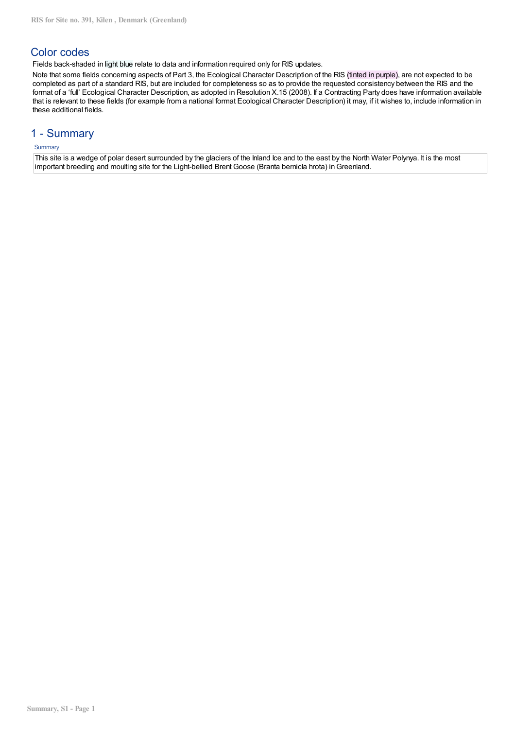# Color codes

Fields back-shaded in light blue relate to data and information required only for RIS updates.

Note that some fields concerning aspects of Part 3, the Ecological Character Description of the RIS (tinted in purple), are not expected to be completed as part of a standard RIS, but are included for completeness so as to provide the requested consistency between the RIS and the format of a 'full' Ecological Character Description, as adopted in Resolution X.15 (2008). If a Contracting Party does have information available that is relevant to these fields (for example from a national format Ecological Character Description) it may, if it wishes to, include information in these additional fields.

# 1 - Summary

# **Summary**

This site is a wedge of polar desert surrounded by the glaciers of the Inland Ice and to the east by the North Water Polynya. It is the most important breeding and moulting site for the Light-bellied Brent Goose (Branta bernicla hrota) in Greenland.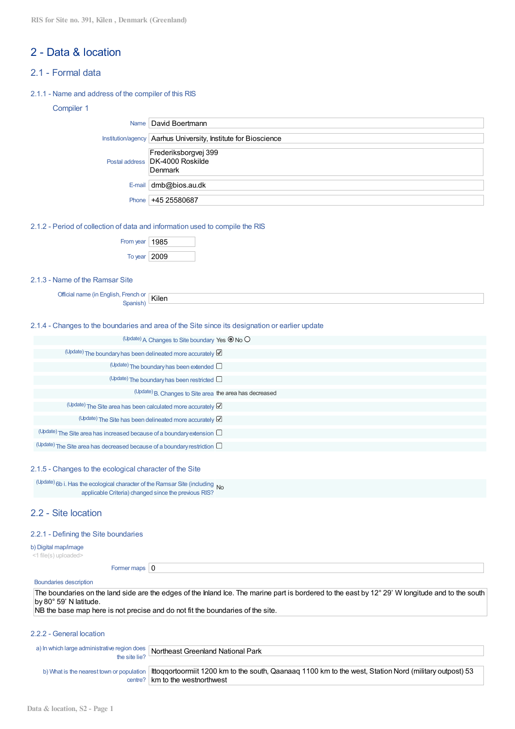# 2 - Data & location

# 2.1 - Formal data

#### 2.1.1 - Name and address of the compiler of this RIS

# Compiler 1

|       | Name   David Boertmann                                             |
|-------|--------------------------------------------------------------------|
|       | Institution/agency   Aarhus University, Institute for Bioscience   |
|       | Frederiksborgvej 399<br>Postal address DK-4000 Roskilde<br>Denmark |
|       | E-mail $dmb@$ bios.au.dk                                           |
| Phone | +45 25580687                                                       |

2.1.2 - Period of collection of data and information used to compile the RIS

| From year   $1985$ |  |
|--------------------|--|
| To year $ 2009$    |  |

## 2.1.3 - Name of the Ramsar Site

Official name (in English, French or French or **Kilen** 

## 2.1.4 - Changes to the boundaries and area of the Site since its designation or earlier update

| (Update) A Changes to Site boundary Yes <sup>O</sup> No O                       |
|---------------------------------------------------------------------------------|
| (Update) The boundary has been delineated more accurately $\boxtimes$           |
| (Update) The boundary has been extended $\square$                               |
| $(Update)$ The boundary has been restricted $\square$                           |
| (Update) B. Changes to Site area the area has decreased                         |
| (Update) The Site area has been calculated more accurately $\boxtimes$          |
| (Update) The Site has been delineated more accurately                           |
| $(Update)$ The Site area has increased because of a boundary extension $\Box$   |
| $(Update)$ The Site area has decreased because of a boundary restriction $\Box$ |

#### 2.1.5 - Changes to the ecological character of the Site

(Update) 6b i. Has the ecological character of the Ramsar Site (including  $N_0$ applicable Criteria) changed since the previous RIS?

# 2.2 - Site location

#### 2.2.1 - Defining the Site boundaries

b) Digital map/image

<1 file(s) uploaded>

Former maps  $\vert 0 \vert$ 

centre? km to the westnorthwest

#### Boundaries description

The boundaries on the land side are the edges of the Inland Ice. The marine part is bordered to the east by 12° 29' W longitude and to the south by 80° 59' N latitude.  $N<sub>B</sub>$  the base map here is not precise and do not fit the boundaries of the site.

#### 2.2.2 - General location

|                                           | a) In which large administrative region does Northeast Greenland National Park                         |
|-------------------------------------------|--------------------------------------------------------------------------------------------------------|
| the site lie?                             |                                                                                                        |
| b) What is the nearest town or population | Ittoggortoormiit 1200 km to the south, Qaanaag 1100 km to the west, Station Nord (military outpost) 53 |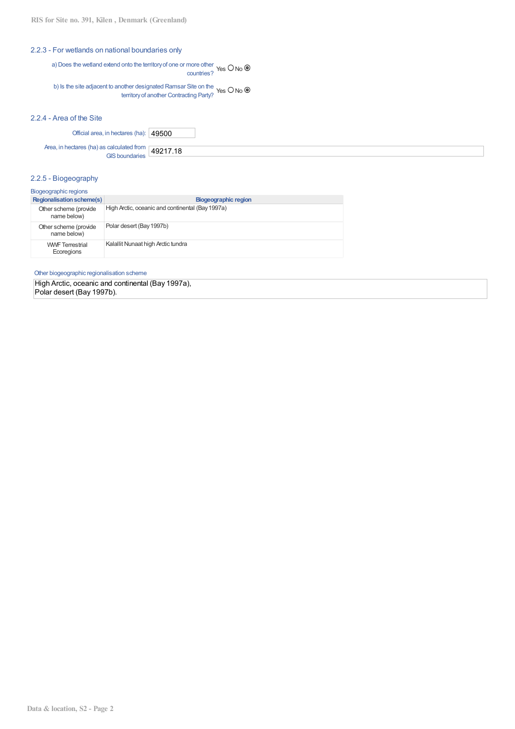## 2.2.3 - For wetlands on national boundaries only

a) Does the wetland extend onto the territoryof one or more other nore official Yes O No (

b) Is the site adjacent to another designated Ramsar Site on the territoryof another Contracting Party? Yes No

## 2.2.4 - Area of the Site

| Official area, in hectares (ha): 49500                                  |  |
|-------------------------------------------------------------------------|--|
| Area, in hectares (ha) as calculated from $\frac{49217.18}{\text{GIS}}$ |  |

## 2.2.5 - Biogeography

| <b>Biogeographic regions</b> |  |  |  |  |  |  |  |  |
|------------------------------|--|--|--|--|--|--|--|--|
|------------------------------|--|--|--|--|--|--|--|--|

| <b>Regionalisation scheme(s)</b>     | <b>Biogeographic region</b>                      |
|--------------------------------------|--------------------------------------------------|
| Other scheme (provide<br>name below) | High Arctic, oceanic and continental (Bay 1997a) |
| Other scheme (provide<br>name below) | Polar desert (Bay 1997b)                         |
| <b>WWF</b> Terrestrial<br>Ecoregions | Kalallit Nunaat high Arctic tundra               |

Other biogeographic regionalisation scheme

High Arctic, oceanic and continental (Bay 1997a), Polar desert (Bay 1997b).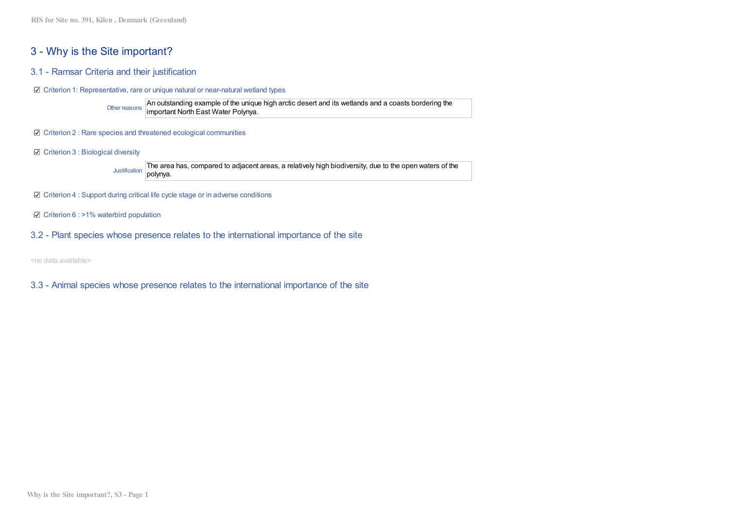# 3 - Why is the Site important?

- 3.1 Ramsar Criteria and their justification
- Criterion 1: Representative, rare or unique natural or near-natural wetland types

Other reasons An outstanding example of the unique high arctic desert and its wetlands and a coasts bordering the important North East Water Polynya.

- $□$  Criterion 2 : Rare species and threatened ecological communities
- Criterion 3 : Biological diversity

Justification The area has, compared to adjacent areas, a relatively high biodiversity, due to the open waters of the polynya.

- Criterion 4 : Support during critical life cycle stage or in adverse conditions
- $\boxtimes$  Criterion 6 : >1% waterbird population
- 3.2 Plant species whose presence relates to the international importance of the site

<no data available>

3.3 - Animal species whose presence relates to the international importance of the site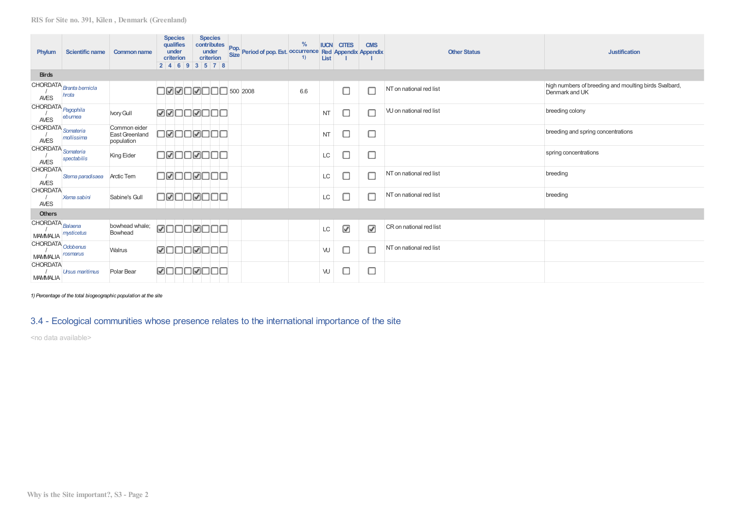| Phylum                                        | Scientific name                   | <b>Common name</b>                           | <b>Species</b><br>qualifies<br>under<br>criterion<br>2 4 6 9 3 5 7 8 |  | <b>Species</b><br>contributes<br>under<br>criterion | Pop. Period of pop. Est. occurrence Red Appendix Appendix | $\frac{0}{0}$<br>1) | <b>IUCN</b><br>List | <b>CITES</b> | <b>CMS</b>               | <b>Other Status</b>     | <b>Justification</b>                                                    |
|-----------------------------------------------|-----------------------------------|----------------------------------------------|----------------------------------------------------------------------|--|-----------------------------------------------------|-----------------------------------------------------------|---------------------|---------------------|--------------|--------------------------|-------------------------|-------------------------------------------------------------------------|
| <b>Birds</b>                                  |                                   |                                              |                                                                      |  |                                                     |                                                           |                     |                     |              |                          |                         |                                                                         |
| AVES                                          | CHORDATA Branta bernicla<br>hrota |                                              | □ØØ□Ø□□□ 500 2008                                                    |  |                                                     |                                                           | 6.6                 |                     |              | $\Box$                   | NT on national red list | high numbers of breeding and moulting birds Svalbard,<br>Denmark and UK |
| CHORDATA <sub>Pagophila</sub><br>AVES         | eburnea                           | Ivory Gull                                   | <u> Maccacc</u>                                                      |  |                                                     |                                                           |                     | <b>NT</b>           |              | C                        | VU on national red list | breeding colony                                                         |
| CHORDATA Somateria<br>AVES                    | mollissima                        | Common eider<br>East Greenland<br>population | OØOOØOC                                                              |  |                                                     |                                                           |                     | <b>NT</b>           | С            | С                        |                         | breeding and spring concentrations                                      |
| CHORDATA Somateria<br>AVES                    | spectabilis                       | King Eider                                   | OØOOØOO                                                              |  |                                                     |                                                           |                     | LC                  |              | С                        |                         | spring concentrations                                                   |
| <b>CHORDATA</b><br><b>AVES</b>                | Sterna paradisaea                 | <b>Arctic Tern</b>                           | O <b>⊠</b> OO <b>⊠</b> OC                                            |  |                                                     |                                                           |                     | LC                  |              | C                        | NT on national red list | breeding                                                                |
| <b>CHORDATA</b><br><b>AVES</b>                | Xema sabini                       | Sabine's Gull                                | 00000000                                                             |  |                                                     |                                                           |                     | LC                  | Г            | C                        | NT on national red list | breeding                                                                |
| <b>Others</b>                                 |                                   |                                              |                                                                      |  |                                                     |                                                           |                     |                     |              |                          |                         |                                                                         |
| CHORDATA Balaena<br><b>MAMMALIA</b>           | mysticetus                        | bowhead whale;<br>Bowhead                    | <b>ØOOOØOOC</b>                                                      |  |                                                     |                                                           |                     | LC                  | ☑            | $\overline{\mathcal{L}}$ | CR on national red list |                                                                         |
| CHORDATA Odobenus<br>MAMMALIA <i>rosmarus</i> |                                   | Walrus                                       | <b>ØOOOØOOO</b>                                                      |  |                                                     |                                                           |                     | W                   | С            | C                        | NT on national red list |                                                                         |
| <b>CHORDATA</b><br><b>MAMMALIA</b>            | <b>Ursus maritimus</b>            | Polar Bear                                   | ØOOOØOO                                                              |  |                                                     |                                                           |                     | W                   | c            | С                        |                         |                                                                         |

*1) Percentage of the total biogeographic population at the site*

# 3.4 - Ecological communities whose presence relates to the international importance of the site

<no data available>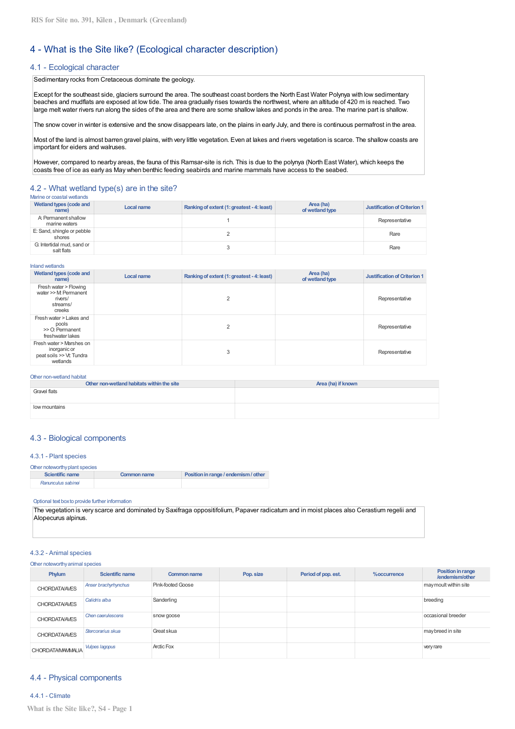# 4 - What is the Site like? (Ecological character description)

### 4.1 - Ecological character

Sedimentary rocks from Cretaceous dominate the geology.

Except for the southeast side, glaciers surround the area. The southeast coast borders the North East Water Polynya with low sedimentary beaches and mudflats are exposed at low tide. The area gradually rises towards the northwest, where an altitude of 420 m is reached. Two large melt water rivers run along the sides of the area and there are some shallow lakes and ponds in the area. The marine part is shallow.

The snow cover in winter is extensive and the snow disappears late, on the plains in early July, and there is continuous permafrost in the area.

Most of the land is almost barren gravel plains, with very little vegetation. Even at lakes and rivers vegetation is scarce. The shallow coasts are important for eiders and walruses.

However, compared to nearby areas, the fauna of this Ramsar-site is rich. This is due to the polynya (North East Water), which keeps the coasts free of ice as early as May when benthic feeding seabirds and marine mammals have access to the seabed.

#### 4.2 - What wetland type(s) are in the site? Marine or coastal wetlands

| Wetland types (code and<br>name)         | Local name | Ranking of extent (1: greatest - 4: least) | Area (ha)<br>of wetland type | Justification of Criterion 1 |
|------------------------------------------|------------|--------------------------------------------|------------------------------|------------------------------|
| A: Permanent shallow<br>marine waters    |            |                                            |                              | Representative               |
| E: Sand, shingle or pebble<br>shores     |            |                                            |                              | Rare                         |
| G: Intertidal mud, sand or<br>salt flats |            |                                            |                              | Rare                         |

Inland wetlands

| Wetland types (code and<br>name)                                                 | Local name | Ranking of extent (1: greatest - 4: least) | Area (ha)<br>of wetland type | <b>Justification of Criterion 1</b> |
|----------------------------------------------------------------------------------|------------|--------------------------------------------|------------------------------|-------------------------------------|
| Fresh water > Flowing<br>water >> M Permanent<br>rivers/<br>streams/<br>creeks   |            |                                            |                              | Representative                      |
| Fresh water > Lakes and<br>pools<br>>> O: Permanent<br>freshwater lakes          |            |                                            |                              | Representative                      |
| Fresh water > Marshes on<br>inorganic or<br>peat soils >> Vt: Tundra<br>wetlands |            | 3                                          |                              | Representative                      |

#### Other non-wetland habitat

| Other non-wetland habitats within the site | Area (ha) if known |
|--------------------------------------------|--------------------|
| Gravel flats                               |                    |
|                                            |                    |
| low mountains                              |                    |
|                                            |                    |

#### 4.3 - Biological components

#### 4.3.1 - Plant species

| Other noteworthy plant species |             |                                      |  |  |  |  |
|--------------------------------|-------------|--------------------------------------|--|--|--|--|
| Scientific name                | Common name | Position in range / endemism / other |  |  |  |  |
| Ranunculus sabinei             |             |                                      |  |  |  |  |

#### Optional text boxto provide further information

The vegetation is very scarce and dominated by Saxifraga oppositifolium, Papaver radicatum and in moist places also Cerastium regelii and Alopecurus alpinus.

#### 4.3.2 - Animal species

#### Other noteworthyanimal species

| Phylum                   | <b>Scientific name</b> | Common name       | Pop. size | Period of pop. est. | %occurrence | Position in range<br>/endemism/other |
|--------------------------|------------------------|-------------------|-----------|---------------------|-------------|--------------------------------------|
| <b>CHORDATA/AVES</b>     | Anser brachyrhynchus   | Pink-footed Goose |           |                     |             | may moult within site                |
| <b>CHORDATA/AVES</b>     | Calidris alba          | Sanderling        |           |                     |             | breeding                             |
| <b>CHORDATA/AVES</b>     | Chen caerulescens      | snow goose        |           |                     |             | occasional breeder                   |
| <b>CHORDATA/AVES</b>     | Stercorarius skua      | Great skua        |           |                     |             | may breed in site                    |
| <b>CHORDATA/MAMMALIA</b> | Vulpes lagopus         | <b>Arctic Fox</b> |           |                     |             | very rare                            |

#### 4.4 - Physical components

4.4.1 - Climate **What is the Site like?, S4 - Page 1**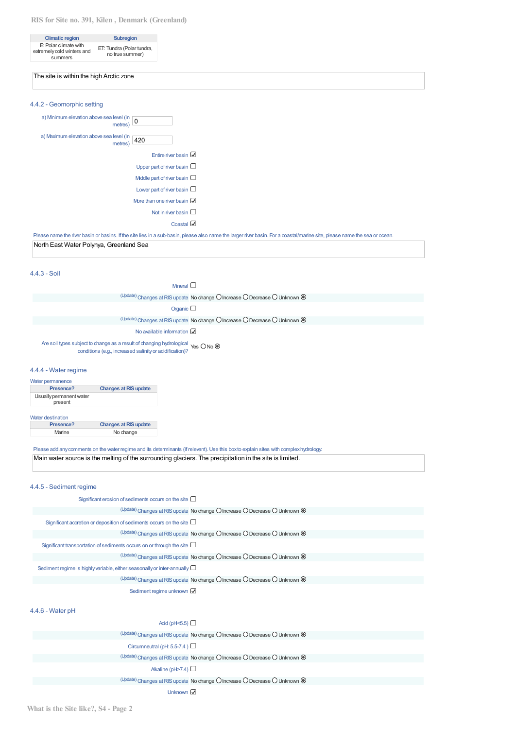## **RIS for Site no. 391, Kilen , Denmark (Greenland)**

| <b>Climatic region</b>                                         | <b>Subregion</b>                             |
|----------------------------------------------------------------|----------------------------------------------|
| E: Polar climate with<br>extremely cold winters and<br>summers | ET: Tundra (Polar tundra,<br>no true summer) |

# The site is within the high Arctic zone

| 4.4.2 - Geomorphic setting                                      |                                                                                                                                                                           |
|-----------------------------------------------------------------|---------------------------------------------------------------------------------------------------------------------------------------------------------------------------|
| a) Minimum elevation above sea level (in $\boxed{0}$<br>metres) |                                                                                                                                                                           |
| a) Maximum elevation above sea level (in<br>420<br>metres)      |                                                                                                                                                                           |
| Entire river basin $\mathbb Z$                                  |                                                                                                                                                                           |
| Upper part of river basin $\square$                             |                                                                                                                                                                           |
| Middle part of river basin $\Box$                               |                                                                                                                                                                           |
| Lower part of river basin $\square$                             |                                                                                                                                                                           |
| More than one river basin $M$                                   |                                                                                                                                                                           |
| Not in river basin $\square$                                    |                                                                                                                                                                           |
| Coastal $\boxtimes$                                             |                                                                                                                                                                           |
|                                                                 | Please name the river basin or basins. If the site lies in a sub-basin, please also name the larger river basin. For a coastal/marine site, please name the sea or ocean. |
| North East Water Polynya, Greenland Sea                         |                                                                                                                                                                           |

#### 4.4.3 - Soil

| Mneral $\square$                                                                                                                                                       |  |
|------------------------------------------------------------------------------------------------------------------------------------------------------------------------|--|
| $\alpha$ <sup>(Update)</sup> Changes at RIS update No change O Increase O Decrease O Unknown $\odot$                                                                   |  |
| Organic $\square$                                                                                                                                                      |  |
| (Update) Changes at RIS update No change O Increase O Decrease O Unknown <sup>®</sup>                                                                                  |  |
| No available information $\boxtimes$                                                                                                                                   |  |
| Are soil types subject to change as a result of changing hydrological $\gamma$ es $\bigcirc$ No $\circledcirc$ conditions (e.g., increased salinity or acidification)? |  |

#### 4.4.4 - Water regime

| Water permanence<br>Presence? | <b>Changes at RIS update</b> |
|-------------------------------|------------------------------|
| Usually permanent water       |                              |
| present                       |                              |

Water destination<br>
Presence? **Presence? Changes at RIS update**<br> **Presence**<br> **Rightarrow RIS update** No change

Please add any comments on the water regime and its determinants (if relevant). Use this box to explain sites with complex hydrology:

Main water source is the melting of the surrounding glaciers. The precipitation in the site is limited.

#### 4.4.5 - Sediment regime

| Significant erosion of sediments occurs on the site $\Box$                            |
|---------------------------------------------------------------------------------------|
| (Update) Changes at RIS update No change O Increase O Decrease O Unknown <sup>®</sup> |
| Significant accretion or deposition of sediments occurs on the site $\Box$            |
| (Update) Changes at RIS update No change O Increase O Decrease O Unknown O            |
| Significant transportation of sediments occurs on or through the site $\square$       |
| (Update) Changes at RIS update No change O Increase O Decrease O Unknown <sup>O</sup> |
| Sediment regime is highly variable, either seasonally or inter-annually $\square$     |
| (Update) Changes at RIS update No change O Increase O Decrease O Unknown <sup>O</sup> |
| Sediment regime unknown                                                               |
|                                                                                       |
| 4.4.6 - Water pH                                                                      |
| Acid (pH<5.5) $\Box$                                                                  |
| (Update) Changes at RIS update No change O Increase O Decrease O Unknown <sup>O</sup> |
| Circumneutral (pH: 5.5-7.4) $\Box$                                                    |
|                                                                                       |

(Update) Changes at RIS update No change  $O$  Increase  $O$  Decrease  $O$  Unknown  $\circledcirc$ 

Alkaline (pH>7.4)  $\Box$ 

(Update) Changes at RIS update No change  $O$  Increase  $O$  Decrease  $O$  Unknown  $\circledcirc$ 

Unknown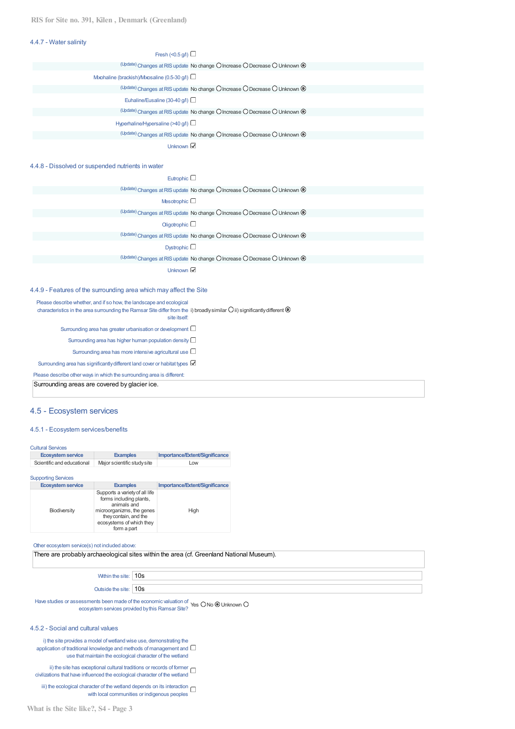#### 4.4.7 - Water salinity

| Fresh (<0.5 g/l) $\Box$                                                               |  |
|---------------------------------------------------------------------------------------|--|
| (Update) Changes at RIS update No change O Increase O Decrease O Unknown <sup>O</sup> |  |
| Mxohaline (brackish)/Mxosaline (0.5-30 $q$ /l) $\Box$                                 |  |
| (Update) Changes at RIS update No change O Increase O Decrease O Unknown @            |  |
| Euhaline/Eusaline (30-40 $q/l$ )                                                      |  |
| (Update) Changes at RIS update No change O Increase O Decrease O Unknown <sup>®</sup> |  |
| Hyperhaline/Hypersaline (>40 g/l) $\Box$                                              |  |
| (Update) Changes at RIS update No change O Increase O Decrease O Unknown <sup>O</sup> |  |
| Unknown $\mathbb{Z}$                                                                  |  |

#### 4.4.8 - Dissolved or suspended nutrients in water

| Eutrophic $\square$                                                                                  |
|------------------------------------------------------------------------------------------------------|
| (Update) Changes at RIS update No change O Increase O Decrease O Unknown O                           |
| Mesotrophic $\Box$                                                                                   |
| (Update) Changes at RIS update No change O Increase O Decrease O Unknown <sup>®</sup>                |
| Oligotrophic $\square$                                                                               |
| (Update) Changes at RIS update No change O Increase O Decrease O Unknown @                           |
| Dystrophic $\square$                                                                                 |
| $\sigma$ <sup>(Update)</sup> Changes at RIS update No change O Increase O Decrease O Unknown $\odot$ |
| Unknown ⊠                                                                                            |

#### 4.4.9 - Features of the surrounding area which may affect the Site

Please describe whether, and if so how, the landscape and ecological characteristics in the area surrounding the Ramsar Site differ from the  $\,$ i) broadly $\,$ similar $\,$ O $\,$ ii) $\,$ significantly $\,$ different  $\,$ l $\,$ site itself: Surrounding area has greater urbanisation or development  $\Box$ Surrounding area has higher human population density  $\square$ 

Surrounding area has more intensive agricultural use  $\Box$ 

Surrounding area has significantly different land cover or habitat types

Please describe other ways in which the surrounding area is different:

Surrounding areas are covered by glacier ice.

## 4.5 - Ecosystem services

#### 4.5.1 - Ecosystem services/benefits

| <b>Cultural Services</b><br><b>Ecosystem service</b> | <b>Examples</b>             | Importance/Extent/Significance |
|------------------------------------------------------|-----------------------------|--------------------------------|
| Scientific and educational                           | Major scientific study site | Low                            |
| <b>Supporting Services</b>                           |                             |                                |

| <b>Ecosystem service</b> | <b>Examples</b>                                                                                                                                                           | Importance/Extent/Significance |
|--------------------------|---------------------------------------------------------------------------------------------------------------------------------------------------------------------------|--------------------------------|
| Biodiversity             | Supports a variety of all life<br>forms including plants,<br>animals and<br>microorganizms, the genes<br>they contain, and the<br>ecosystems of which they<br>form a part | High                           |

#### Other ecosystem service(s) not included above:

There are probably archaeological sites within the area (cf. Greenland National Museum).

Within the site: 10s

Outside the site: 10s

Have studies or assessments been made of the economic valuation of ecosystem services provided by this Ramsar Site? Yes O No @ Unknown (

#### 4.5.2 - Social and cultural values

i) the site provides a model of wetland wise use, demonstrating the application of traditional knowledge and methods of management and  $\Box$ use that maintain the ecological character of the wetland

ii) the site has exceptional cultural traditions or records of former  $\Box$ civilizations that have influenced the ecological character of the wetland

iii) the ecological character of the wetland depends on its interaction  $\Box$ with local communities or indigenous peoples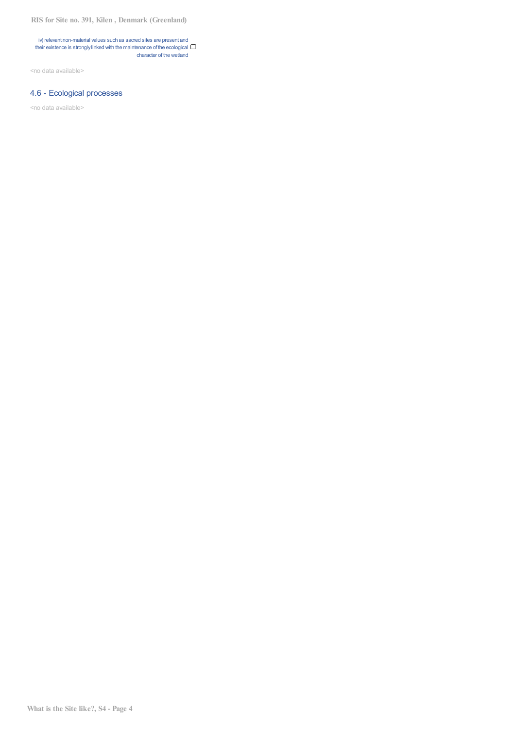**RIS for Site no. 391, Kilen , Denmark (Greenland)**

iv) relevant non-material values such as sacred sites are present and their existence is strongly linked with the maintenance of the ecological  $\square$ character of the wetland

<no data available>

# 4.6 - Ecological processes

<no data available>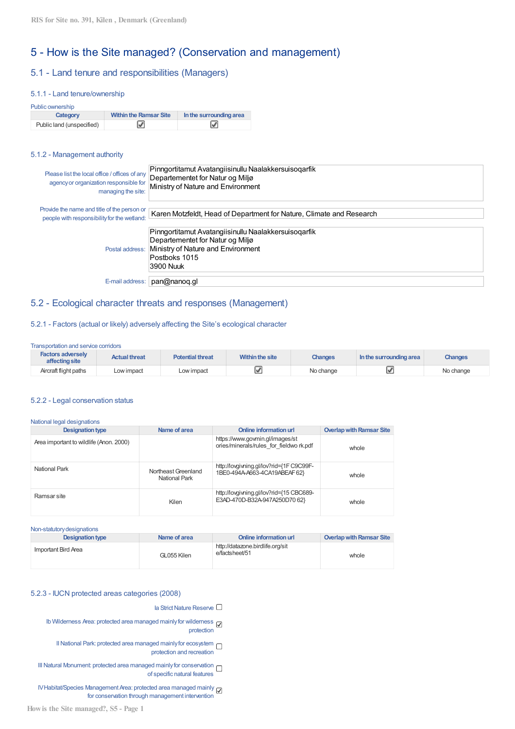# 5 - How is the Site managed? (Conservation and management)

# 5.1 - Land tenure and responsibilities (Managers)

#### 5.1.1 - Land tenure/ownership

| Public ownership          |                               |                         |
|---------------------------|-------------------------------|-------------------------|
| Category                  | <b>Within the Ramsar Site</b> | In the surrounding area |
| Public land (unspecified) |                               |                         |

#### 5.1.2 - Management authority

| Please list the local office / offices of any<br>agency or organization responsible for<br>managing the site: | Pinngortitamut Avatangiisinullu Naalakkersuisoqarfik<br>Departementet for Natur og Miljø<br>Ministry of Nature and Environment                               |
|---------------------------------------------------------------------------------------------------------------|--------------------------------------------------------------------------------------------------------------------------------------------------------------|
| Provide the name and title of the person or<br>people with responsibility for the wetland:                    | Karen Motzfeldt, Head of Department for Nature, Climate and Research                                                                                         |
| Postal address:                                                                                               | Pinngortitamut Avatangiisinullu Naalakkersuisoqarfik<br>Departementet for Natur og Miljø<br>Ministry of Nature and Environment<br>Postboks 1015<br>3900 Nuuk |
| E-mail address:                                                                                               | pan@nanoq.gl                                                                                                                                                 |

# 5.2 - Ecological character threats and responses (Management)

## 5.2.1 - Factors (actual or likely) adversely affecting the Site's ecological character

Transportation and service corridors

| <b>Factors adversely</b><br>affecting site | <b>Actual threat</b> | <b>Potential threat</b> | Within the site | Changes   | In the surrounding area | <b>Changes</b> |
|--------------------------------------------|----------------------|-------------------------|-----------------|-----------|-------------------------|----------------|
| Aircraft flight paths                      | Low impact           | Low impact              |                 | No change |                         | No change      |

#### 5.2.2 - Legal conservation status

| <b>Designation type</b>                 | Name of area                         | <b>Online information url</b>                                              | <b>Overlap with Ramsar Site</b> |
|-----------------------------------------|--------------------------------------|----------------------------------------------------------------------------|---------------------------------|
| Area important to wildlife (Anon. 2000) |                                      | https://www.govmin.gl/images/st<br>ories/minerals/rules for fieldwo rk.pdf | whole                           |
| National Park                           | Northeast Greenland<br>National Park | http://lovgivning.gl/lov?rid={1F C9C99F-<br>1BE0-494A-A663-4CA19ABEAF 62}  | whole                           |
| Ramsar site                             | Kilen                                | http://lovgivning.gl/lov?rid={15 CBC689-<br>E3AD-470D-B32A-947A250D70 62}  | whole                           |

Non-statutorydesignations

| <b>Designation type</b> | Name of area | Online information url                             | <b>Overlap with Ramsar Site</b> |
|-------------------------|--------------|----------------------------------------------------|---------------------------------|
| Important Bird Area     | GL055 Kilen  | http://datazone.birdlife.org/sit<br>e/factsheet/51 | whole                           |

### 5.2.3 - IUCN protected areas categories (2008)

Ia Strict Nature Reserve  $\Box$ 

Ib Wilderness Area: protected area managed mainly for wilderness protection

II National Park: protected area managed mainly for ecosystem  $\Box$ protection and recreation

III Natural Monument: protected area managed mainly for conservation of specific natural features

IV Habitat/Species Management Area: protected area managed mainly for conservation through management intervention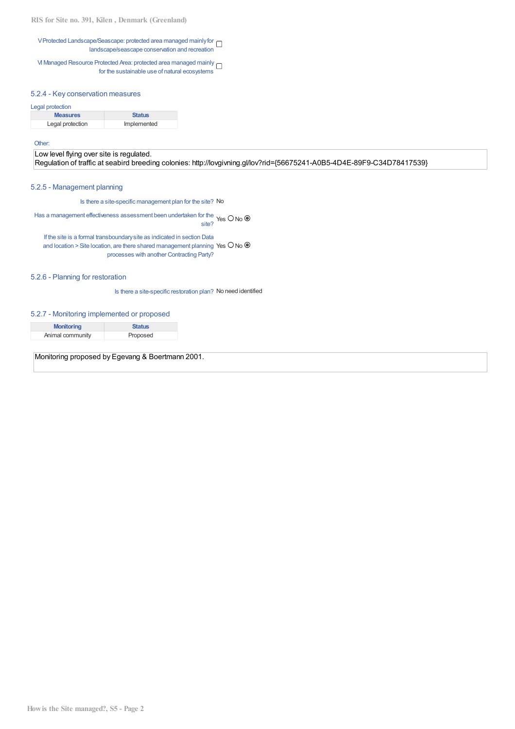**RIS for Site no. 391, Kilen , Denmark (Greenland)**

VProtected Landscape/Seascape: protected area managed mainlyfor landscape/seascape conservation and recreation

VI Managed Resource Protected Area: protected area managed mainly for the sustainable use of natural ecosystems

#### 5.2.4 - Key conservation measures

#### Legal protection

| <b>Measures</b>  | <b>Status</b> |
|------------------|---------------|
| Legal protection | Implemented   |

#### Other:

Low level flying over site is regulated. Regulation of traffic at seabird breeding colonies: http://lovgivning.gl/lov?rid={56675241-A0B5-4D4E-89F9-C34D78417539}

#### 5.2.5 - Management planning

Is there a site-specific management plan for the site? No

Has a management effectiveness assessment been undertaken for the. site? Yes O No (

If the site is a formal transboundarysite as indicated in section Data and location > Site location, are there shared management planning Yes  $\Box$  No ( processes with another Contracting Party?

#### 5.2.6 - Planning for restoration

Is there a site-specific restoration plan? No need identified

#### 5.2.7 - Monitoring implemented or proposed

| <b>Monitoring</b> | <b>Status</b> |
|-------------------|---------------|
| Animal community  | Proposed      |
|                   |               |

Monitoring proposed by Egevang & Boertmann 2001.